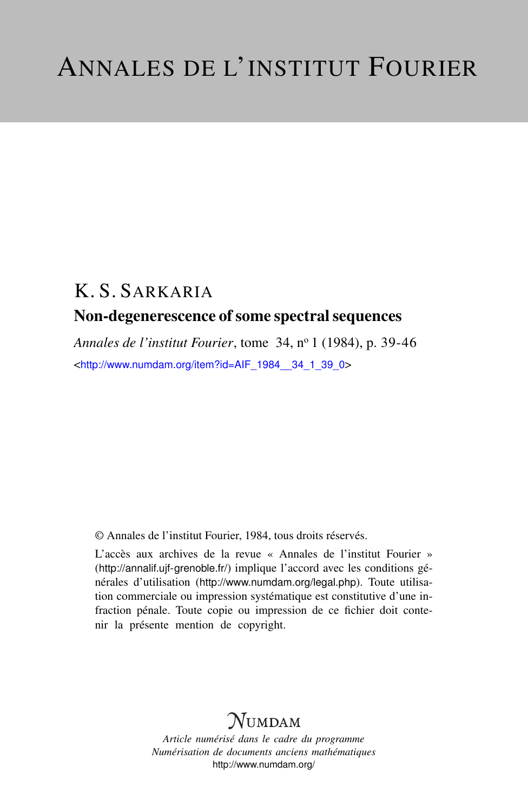# K. S. SARKARIA Non-degenerescence of some spectral sequences

*Annales de l'institut Fourier*, tome 34, n<sup>o</sup> 1 (1984), p. 39-46 <[http://www.numdam.org/item?id=AIF\\_1984\\_\\_34\\_1\\_39\\_0](http://www.numdam.org/item?id=AIF_1984__34_1_39_0)>

© Annales de l'institut Fourier, 1984, tous droits réservés.

L'accès aux archives de la revue « Annales de l'institut Fourier » (<http://annalif.ujf-grenoble.fr/>) implique l'accord avec les conditions générales d'utilisation (<http://www.numdam.org/legal.php>). Toute utilisation commerciale ou impression systématique est constitutive d'une infraction pénale. Toute copie ou impression de ce fichier doit contenir la présente mention de copyright.

# NUMDAM

*Article numérisé dans le cadre du programme Numérisation de documents anciens mathématiques* <http://www.numdam.org/>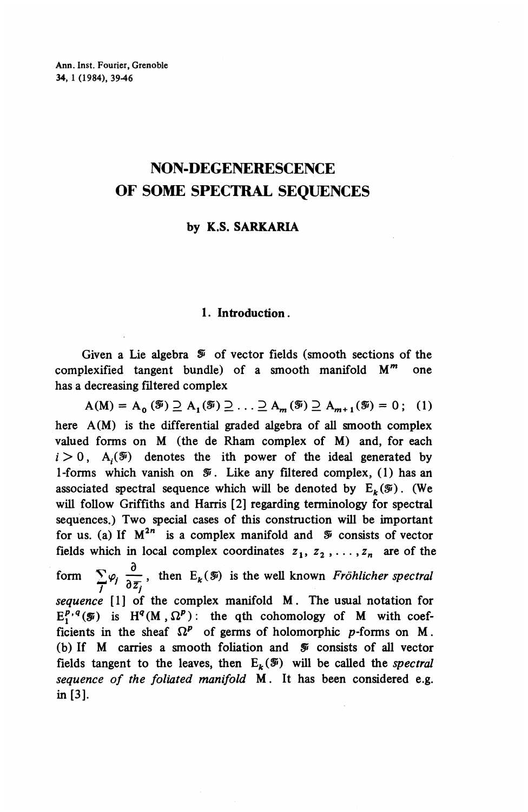# **NON-DEGENERESCENCE OF SOME SPECTRAL SEQUENCES**

# **by K.S. SARKARIA**

## **1. Introduction.**

Given a Lie algebra  $\mathcal F$  of vector fields (smooth sections of the complexified tangent bundle) of a smooth manifold *M\*"* one has a decreasing filtered complex

 $A(M) = A_0 (\mathcal{F}) \supseteq A_1 (\mathcal{F}) \supseteq ... \supseteq A_m (\mathcal{F}) \supseteq A_{m+1} (\mathcal{F}) = 0;$  (1) here A(M) is the differential graded algebra of all smooth complex valued forms on M (the de Rham complex of M) and, for each  $i > 0$ , A<sub>i</sub>( $\mathcal{F}$ ) denotes the ith power of the ideal generated by 1-forms which vanish on  $\mathcal{F}$ . Like any filtered complex, (1) has an associated spectral sequence which will be denoted by  $E_k(\mathcal{F})$ . (We will follow Griffiths and Harris [2] regarding terminology for spectral sequences.) Two special cases of this construction will be important for us. (a) If  $M^{2n}$  is a complex manifold and  $\mathcal{F}$  consists of vector fields which in local complex coordinates  $z_1, z_2, \ldots, z_n$  are of the form  $\sum \varphi_i \stackrel{\partial}{\sim}$ , then  $E_k(\mathcal{F})$  is the well known *Fröhlicher spectral*  $\frac{2}{I}$ <sup> $\varphi_j$ </sup>  $\frac{2}{\vartheta_2}$ *sequence* [1] of the complex manifold M. The usual notation for  $E_1^{p,q}(\mathcal{F})$  is  $H^q(M,\Omega^p)$ : the qth cohomology of M with coefficients in the sheaf  $\Omega^p$  of germs of holomorphic p-forms on M. (b) If M carries a smooth foliation and *Si* consists of all vector fields tangent to the leaves, then  $E_k(\mathcal{F})$  will be called the *spectral sequence of the foliated manifold* M. It has been considered e.g. in [3].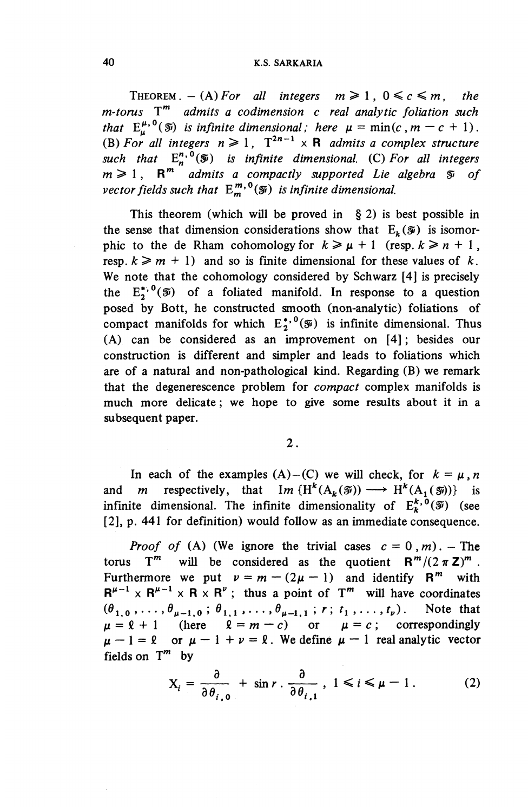THEOREM  $- (A)$  For all integers  $m \ge 1$ ,  $0 \le c \le m$ , the m-torus  $T^m$  admits a codimension c real analytic foliation such *that*  $E^{\mu,0}_\mu(\mathcal{G})$  *is infinite dimensional; here*  $\mu = \min(c, m - c + 1)$ . (B) For all integers  $n \geq 1$ ,  $T^{2n-1} \times R$  admits a complex structure such that  $E^{n,0}_n(\mathcal{F})$  is infinite dimensional. (C) For all integers  $m \geqslant 1$ ,  $R^m$  admits a compactly supported Lie algebra  $\mathcal{F}$  of *vector fields such that*  $E^{m,0}_m(\mathcal{F})$  *is infinite dimensional.* 

This theorem (which will be proved in  $\S$  2) is best possible in the sense that dimension considerations show that  $E_k(\mathcal{F})$  is isomorphic to the de Rham cohomology for  $k \ge \mu + 1$  (resp.  $k \ge n + 1$ , resp.  $k \geq m + 1$  and so is finite dimensional for these values of k. We note that the cohomology considered by Schwarz [4] is precisely the  $E_2^{*,0}(\mathcal{F})$  of a foliated manifold. In response to a question posed by Bott, he constructed smooth (non-analytic) foliations of compact manifolds for which  $E^{*,0}(\tilde{y})$  is infinite dimensional. Thus (A) can be considered as an improvement on [4]; besides our construction is different and simpler and leads to foliations which are of a natural and non-pathological kind. Regarding (B) we remark that the degenerescence problem for *compact* complex manifolds is much more delicate; we hope to give some results about it in a subsequent paper.

2.

In each of the examples  $(A)$ – $(C)$  we will check, for  $k = \mu, n$ and *m* respectively, that  $Im \{H^k(A_k(\mathcal{F})) \longrightarrow H^k(A_i(\mathcal{F}))\}$  is infinite dimensional. The infinite dimensionality of  $E^{k,0}_b(\mathcal{F})$  (see [2], p. 441 for definition) would follow as an immediate consequence.

*Proof of* (A) (We ignore the trivial cases  $c = 0, m$ ). — The torus T<sup>m</sup> will be considered as the quotient  $R^m/(2\pi Z)^m$ . Furthermore we put  $\nu = m - (2\mu - 1)$  and identify R<sup>m</sup> with  $R^{\mu-1} \times R^{\mu-1} \times R \times R^{\nu}$ ; thus a point of T<sup>m</sup> will have coordinates  $(\theta_{1,0}, \ldots, \theta_{\mu-1,0} ; \theta_{1,1}, \ldots, \theta_{\mu-1,1} ; r; t_1, \ldots, t_{\nu})$ . Note that  $\mu = \ell + 1$  (here  $\ell = m - c$ ) or  $\mu = c$ ; correspondingly  $\mu - 1 = \ell$  or  $\mu - 1 + \nu = \ell$ . We define  $\mu - 1$  real analytic vector fields on  $T^m$  by

$$
X_i = \frac{\partial}{\partial \theta_{i,0}} + \sin r \cdot \frac{\partial}{\partial \theta_{i,1}}, \quad 1 \leq i \leq \mu - 1. \tag{2}
$$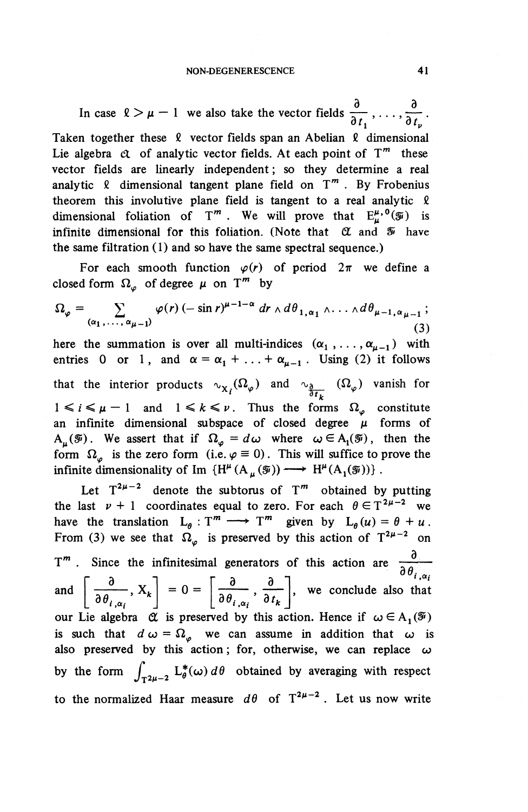In case  $l > \mu - 1$  we also take the vector fields  $\frac{\sigma}{\gamma}$ , ...,  $\frac{\sigma}{\gamma}$ .  $\overline{\partial t_1}$ ,  $\cdots$ ,  $\overline{\partial t_k}$ Taken together these  $\ell$  vector fields span an Abelian  $\ell$  dimensional Lie algebra  $\alpha$  of analytic vector fields. At each point of  $T^m$  these vector fields are linearly independent; so they determine a real analytic  $\ell$  dimensional tangent plane field on  $T^m$ . By Frobenius theorem this involutive plane field is tangent to a real analytic  $\ell$ dimensional foliation of T<sup>m</sup>. We will prove that  $E^{\mu,0}(\tilde{y})$  is infinite dimensional for this foliation. (Note that *QL* and *Si* have the same filtration  $(1)$  and so have the same spectral sequence.)

For each smooth function  $\varphi(r)$  of period  $2\pi$  we define a closed form  $\Omega_{\varphi}$  of degree  $\mu$  on T<sup>m</sup> by

$$
\Omega_{\varphi} = \sum_{(\alpha_1, \ldots, \alpha_{\mu-1})} \varphi(r) \, (-\sin r)^{\mu-1-\alpha} \, dr \wedge d\theta_{1, \alpha_1} \wedge \ldots \wedge d\theta_{\mu-1, \alpha_{\mu-1}}; \tag{3}
$$

here the summation is over all multi-indices  $(\alpha_1, \ldots, \alpha_{\mu-1})$  with entries 0 or 1, and  $\alpha = \alpha_1 + ... + \alpha_{\mu-1}$ . Using (2) it follows that the interior products  $\sim_{X_i} (\Omega_\varphi)$  and  $\sim_{\frac{\partial}{\partial t_k}} (\Omega_\varphi)$  vanish for  $1 \le i \le \mu - 1$  and  $1 \le k \le \nu$ . Thus the forms  $\Omega_{\varphi}$  constitute an infinite dimensional subspace of closed degree  $\mu$  forms of  $A_{\mu}(\mathcal{F})$ . We assert that if  $\Omega_{\varphi} = d\omega$  where  $\omega \in A_1(\mathcal{F})$ , then the  $A_\mu(\mathcal{F})$ . We assert that if  $\Omega_\varphi = d\omega$  where  $\omega \in A_1(\mathcal{F})$ , then the form  $\Omega_\varphi$  is the zero form (i.e.  $\varphi \equiv 0$ ). This will suffice to prove the infinite dimensionality of Im  $\{H^{\mu}(A_{\mu}(\mathcal{F}))\longrightarrow H^{\mu}(A_{\mu}(\mathcal{F}))\}$ .

Let  $T^{2\mu-2}$  denote the subtorus of  $T^m$  obtained by putting the last  $\nu + 1$  coordinates equal to zero. For each  $\theta \in T^{2\mu - 2}$  we the last  $\nu + 1$  coordinates equal to zero. For each  $\theta \in T^{2\mu - 2}$  we<br>have the translation  $L_{\theta} : T^m \longrightarrow T^m$  given by  $L_{\theta}(u) = \theta + u$ . have the translation  $L_{\theta}: T^m \longrightarrow T^m$  given by  $L_{\theta}(u) =$ <br>From (3) we see that  $\Omega_{\varphi}$  is preserved by this action of  $T^2$ .  $\mu - 2$  or  $T^m$ . Since the infinitesimal generators of this action are  $\frac{\partial}{\partial \theta_{i,\alpha_i}}$ and  $\left[\frac{\partial}{\partial x^2}, X_k\right] = 0 = \left[\frac{\partial}{\partial x^2}, \frac{\partial}{\partial y^2}\right]$ , we conclude also that  $\left[\overline{\frac{\partial}{\partial \theta_{i,\alpha_i}}}, X_k\right] = 0 = \left[\overline{\frac{\partial}{\partial \theta_{i,\alpha_i}}}, \overline{\frac{\partial}{\partial t_k}}\right]$ our Lie algebra  $\alpha$  is preserved by this action. Hence if  $\omega \in A_1(\mathcal{F})$ is such that  $d\omega = \Omega_{\varphi}$  we can assume in addition that  $\omega$  is also preserved by this action; for, otherwise, we can replace  $\omega$ by the form  $\int_{T^2\mu-2}^{\infty} L^*_{\theta}(\omega) d\theta$  obtained by averaging with respect to the normalized Haar measure  $d\theta$  of  $T^{2\mu-2}$ . Let us now write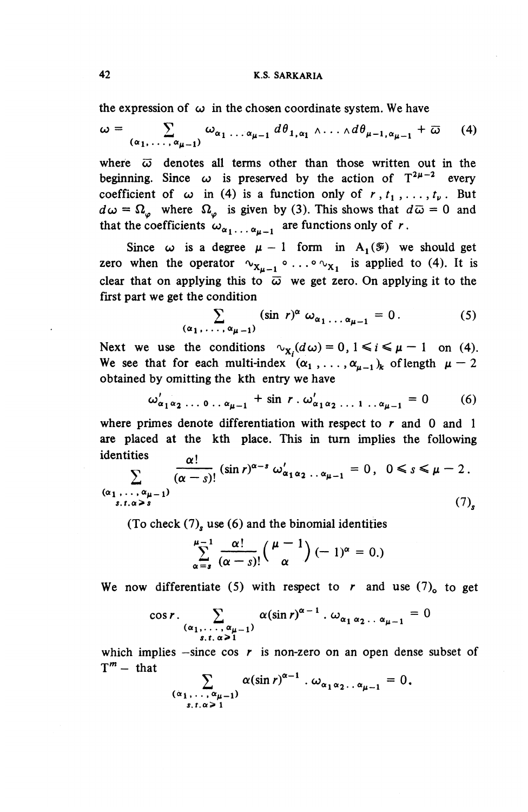the expression of  $\omega$  in the chosen coordinate system. We have

$$
\omega = \sum_{(\alpha_1, \ldots, \alpha_{\mu-1})} \omega_{\alpha_1 \ldots \alpha_{\mu-1}} d\theta_{1, \alpha_1} \wedge \ldots \wedge d\theta_{\mu-1, \alpha_{\mu-1}} + \overline{\omega}
$$
 (4)

where  $\overline{\omega}$  denotes all terms other than those written out in the beginning. Since  $\omega$  is preserved by the action of  $T^{2\mu-2}$  every coefficient of  $\omega$  in (4) is a function only of  $r, t_1, \ldots, t_\nu$ . But  $d\omega = \Omega_{\varphi}$  where  $\Omega_{\varphi}$  is given by (3). This shows that  $d\overline{\omega} = 0$  and that the coefficients  $\omega_{\alpha_1 \ldots \alpha_{\mu-1}}$  are functions only of r.

Since  $\omega$  is a degree  $\mu - 1$  form in A<sub>1</sub>( $\mathcal{F}$ ) we should get zero when the operator  $v_{X_{u-1}} \circ \ldots \circ v_{X_1}$  is applied to (4). It is clear that on applying this to  $\overline{\omega}$  we get zero. On applying it to the first part we get the condition

$$
\sum_{(\alpha_1,\ldots,\alpha_{\mu-1})} (\sin r)^{\alpha} \omega_{\alpha_1\ldots\alpha_{\mu-1}} = 0.
$$
 (5)

Next we use the conditions  $\alpha_{\mathbf{x}_i}(d\omega) = 0, 1 \le i \le \mu - 1$  on (4). Next we use the conditions  $\psi_{\mathbf{x}_i}(d\omega) = 0, 1 \le i \le \mu - 1$  on (4<br>We see that for each multi-index  $(\alpha_1, \ldots, \alpha_{\mu-1})_k$  of length  $\mu$  obtained by omitting the kth entry we have<br>  $\omega'_{\alpha_1 \alpha_2 ... \alpha_{\mu-1}} + \sin r \cdot \omega'_{\alpha_1 \alpha_2 ... \alpha_{\mu-1}} = 0$  (6)

$$
\omega'_{\alpha_1 \alpha_2} \ldots \ldots \ldots \ldots \ldots \ldots \ldots + \sin r \ldots \omega'_{\alpha_1 \alpha_2} \ldots \ldots \ldots \ldots \ldots \ldots = 0 \tag{6}
$$

where primes denote differentiation with respect to  $r$  and 0 and 1 are placed at the kth place. This in turn implies the following  $\mathbf{i}$ dentities  $\mathbf{v}$ 

identities  
\n
$$
\sum_{\substack{(\alpha_1,\ldots,\alpha_{\mu-1})\\s,t,\alpha>s}}\frac{\alpha!}{(\alpha-s)!}(\sin r)^{\alpha-s}\,\omega'_{\alpha_1\alpha_2\ldots\alpha_{\mu-1}}=0\,,\ 0\leq s\leq\mu-2\,.
$$
\n(7)

(To check (7)<sub>s</sub> use (6) and the binomial identities  

$$
\sum_{\alpha=s}^{\mu-1} \frac{\alpha!}{(\alpha-s)!} {\mu-1 \choose \alpha} (-1)^{\alpha} = 0.
$$

We now differentiate (5) with respect to r and use  $(7)$  to get l r)'-l

$$
\cos r \cdot \sum_{\substack{(\alpha_1,\ldots,\alpha_{\mu-1})\\s,t,\alpha\geq 1}} \alpha(\sin r)^{\alpha-1} \cdot \omega_{\alpha_1 \alpha_2 \ldots \alpha_{\mu-1}} = 0
$$

which implies  $-\text{since } \cos r$  is non-zero on an open dense subset  $T^m$  – that

$$
\sum_{\substack{(\alpha_1,\ldots,\alpha_{\mu-1})\\s,t,\alpha\geq 1}}\alpha(\sin r)^{\alpha-1}\cdot\omega_{\alpha_1\alpha_2\ldots\alpha_{\mu-1}}=0.
$$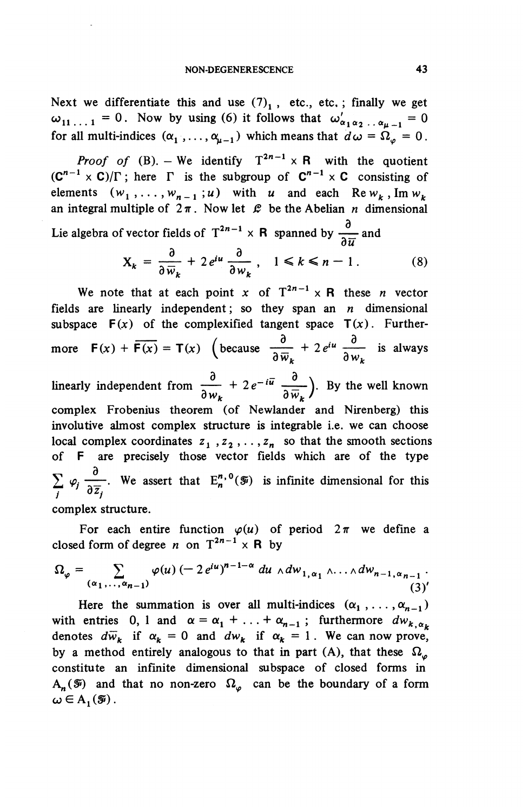Next we differentiate this and use  $(7)<sub>1</sub>$ , etc., etc.; finally we get  $\omega_{11...1} = 0$ . Now by using (6) it follows that  $\omega'_{\alpha_1 \alpha_2 ... \alpha_{u-1}} = 0$ for all multi-indices  $(\alpha_1, \ldots, \alpha_{u-1})$  which means that  $d\omega = \Omega_a = 0$ .

*Proof of* (B). – We identify  $T^{2n-1} \times R$  with the quotient  $(C^{n-1} \times C)/\Gamma$ ; here  $\Gamma$  is the subgroup of  $C^{n-1} \times C$  consisting of elements  $(w_1,\ldots,w_{n-1};u)$  with *u* and each Re $w_k$ , Im  $w_k$ an integral multiple of  $2\pi$ . Now let  $\mathcal L$  be the Abelian *n* dimensional

Lie algebra of vector fields of 
$$
T^{2n-1} \times R
$$
 spanned by  $\frac{\partial}{\partial \overline{u}}$  and  

$$
X_k = \frac{\partial}{\partial \overline{w}_k} + 2 e^{iu} \frac{\partial}{\partial w_k}, \quad 1 \le k \le n-1.
$$
 (8)

We note that at each point  $x$  of  $T^{2n-1} \times R$  these *n* vector fields are linearly independent; so they span an *n* dimensional subspace  $F(x)$  of the complexified tangent space  $T(x)$ . Furthersubspace  $F(x)$  of the complexified tangent space  $T(x)$ . Furthermore  $F(x) + \overline{F(x)} = T(x)$  (because  $\frac{\partial}{\partial \overline{w}_k} + 2e^{i\mu} \frac{\partial}{\partial w_k}$  is always linearly independent from  $\frac{\partial}{\partial x} + 2e^{-i\vec{u}} \frac{\partial}{\partial x}$ ). By the well known  $\partial w_k$   $\partial \overline{w}_k$ */* complex Frobenius theorem (of Newlander and Nirenberg) this involutive almost complex structure is integrable i.e. we can choose local complex coordinates  $z_1, z_2, \ldots, z_n$  so that the smooth sections of F are precisely those vector fields which are of the type  $\sum \varphi_i \frac{\partial}{\partial \overline{z}}$ . We assert that  $E^{n,0}_n(\overline{z})$  is infinite dimensional for this  $\frac{1}{i}$   $\frac{v_j}{i}$   $\frac{\partial \overline{z}_j}{\partial \overline{z}_j}$ complex structure.

For each entire function  $\varphi(u)$  of period  $2\pi$  we define a closed form of degree *n* on  $T^{2n-1} \times R$  by

$$
\Omega_{\varphi} = \sum_{(\alpha_1, \ldots, \alpha_{n-1})} \varphi(u) \, (-\, 2 \, e^{iu})^{n-1-\alpha} \, du \wedge dw_{1, \alpha_1} \wedge \ldots \wedge dw_{n-1, \alpha_{n-1}} \, .
$$

Here the summation is over all multi-indices  $(\alpha_1, \ldots, \alpha_{n-1})$ with entries 0, 1 and  $\alpha = \alpha_1 + \ldots + \alpha_{n-1}$ ; furthermore  $dw_{k,\alpha_k}$ denotes  $d\overline{w}_k$  if  $\alpha_k = 0$  and  $dw_k$  if  $\alpha_k = 1$ . We can now prove,<br>by a method entirely analogous to that in part (A), that these  $\Omega_\varphi$ constitute an infinite dimensional subspace of closed forms in  $A_n(\mathcal{F})$  and that no non-zero  $\Omega_{\varphi}$  can be the boundary of a form  $\omega \in A_{1}(\mathcal{F})$ .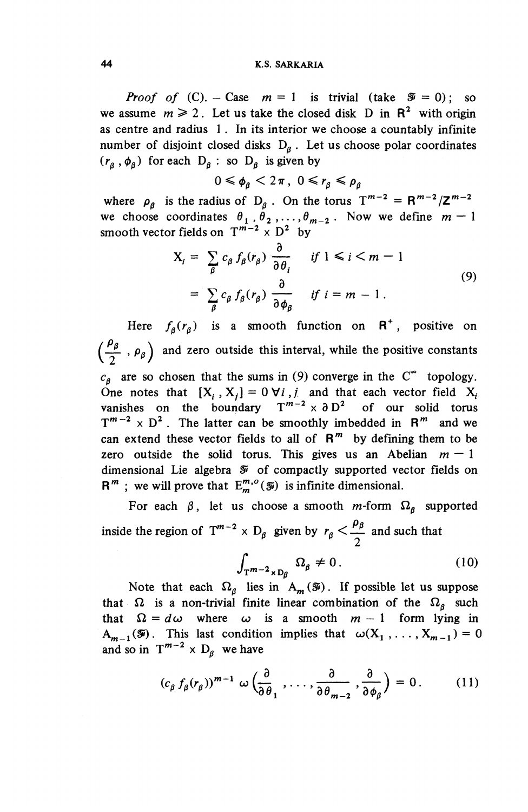#### **44 K.S. SARKARIA**

*Proof of* (C). - Case  $m = 1$  is trivial (take  $\mathcal{F} = 0$ ); so we assume  $m \ge 2$ . Let us take the closed disk D in  $\mathbb{R}^2$  with origin as centre and radius 1 . In its interior we choose a countably infinite number of disjoint closed disks  $D_8$ . Let us choose polar coordinates  $(r_a,\phi_a)$  for each  $D_a$  : so  $D_a$  is given by

$$
0 \leq \phi_{\beta} < 2\pi, \ 0 \leq r_{\beta} \leq \rho_{\beta}
$$

where  $\rho_g$  is the radius of  $D_g$ . On the torus  $T^{m-2} = R^{m-2}/Z^{m-2}$ we choose coordinates  $\theta_1$ ,  $\theta_2$ , ...,  $\theta_{m-2}$ . Now we define  $m - 1$ smooth vector fields on  $T^{m-2} \times D^2$  by

$$
X_{i} = \sum_{\beta} c_{\beta} f_{\beta}(r_{\beta}) \frac{\partial}{\partial \theta_{i}} \quad \text{if } 1 \leq i \leq m - 1
$$
  
= 
$$
\sum_{\beta} c_{\beta} f_{\beta}(r_{\beta}) \frac{\partial}{\partial \phi_{\beta}} \quad \text{if } i = m - 1.
$$
 (9)

Here  $f_a(r_a)$  is a smooth function on  $R^+$ , positive on  $\left(\frac{\rho_{\beta}}{2} \cdot \rho_{\beta} \right)$  and zero outside this interval, while the positive constants  $c_{\beta}$  are so chosen that the sums in (9) converge in the C<sup> $\infty$ </sup> topology. One notes that  $[X_i, X_j] = 0 \forall i, j$  and that each vector field  $X_i$ vanishes on the boundary  $T^{m-2} \times \partial D^2$  of our solid torus  $T^{m-2} \times D^2$ . The latter can be smoothly imbedded in  $R^m$  and we can extend these vector fields to all of  $R^m$  by defining them to be zero outside the solid torus. This gives us an Abelian  $m - 1$ dimensional Lie algebra *Si of* compactly supported vector fields on  $R^m$ ; we will prove that  $E_m^{m,o}(\mathcal{F})$  is infinite dimensional.

For each  $\beta$ , let us choose a smooth m-form  $\Omega_{\beta}$  supported inside the region of  $T^{m-2} \times D_{\beta}$  given by  $r_{\beta} < \frac{\rho_{\beta}}{2}$  and such that

$$
\int_{\mathbf{T}^{m-2} \times \mathbf{D}_{\beta}} \Omega_{\beta} \neq 0. \tag{10}
$$

Note that each  $\Omega_{\beta}$  lies in  $A_{m}(\mathcal{F})$ . If possible let us suppose that  $\Omega$  is a non-trivial finite linear combination of the  $\Omega_g$  such that  $\Omega = d\omega$  where  $\omega$  is a smooth  $m - 1$  form lying in  $A_{m-1}(\mathcal{F})$ . This last condition implies that  $\omega(X_1, \ldots, X_{m-1}) = 0$ and so in  $T^{m-2} \times D_8$  we have

$$
(c_{\beta} f_{\beta}(r_{\beta}))^{m-1} \omega \left(\frac{\partial}{\partial \theta_1}, \ldots, \frac{\partial}{\partial \theta_{m-2}}, \frac{\partial}{\partial \phi_{\beta}}\right) = 0. \qquad (11)
$$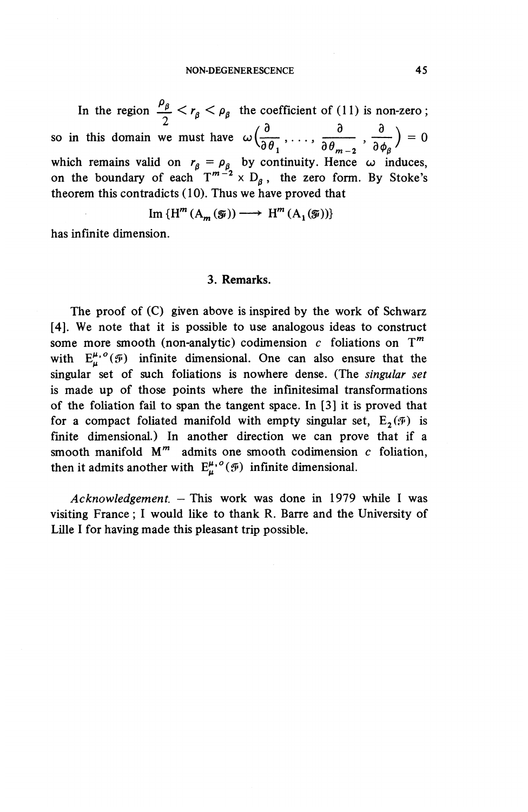#### NON-DEGENERESCENCE 45

In the region  $\frac{\rho_{\beta}}{2} < r_{\beta} < \rho_{\beta}$  the coefficient of (11) is non-zero;<br>so in this domain we must have  $\omega\left(\frac{\partial}{\partial \theta}, \ldots, \frac{\partial}{\partial \theta}, \frac{\partial}{\partial \theta}\right) = 0$  $\sqrt{\partial \theta_1}$ ,  $\cdots$ ,  $\frac{\partial \theta_{m-2}}{\partial \theta_{m-2}}$ ,  $\frac{\partial \phi_{\beta}}{\partial \phi_{\beta}}$ which remains valid on  $r_a = \rho_a$  by continuity. Hence  $\omega$  induces, on the boundary of each  $T^{m-2} \times D_8$ , the zero form. By Stoke's theorem this contradicts (10). Thus we have proved that

$$
\operatorname{Im} \{ \operatorname{H}^m(A_m(\widetilde{\mathfrak{g}})) \longrightarrow \operatorname{H}^m(A_1(\widetilde{\mathfrak{g}})) \}
$$

has infinite dimension.

#### **3. Remarks.**

The proof of (C) given above is inspired by the work of Schwarz [4]. We note that it is possible to use analogous ideas to construct some more smooth (non-analytic) codimension  $c$  foliations on  $T<sup>m</sup>$ with  $E^{\mu,\,o}_\mu(\mathcal{F})$  infinite dimensional. One can also ensure that the singular set of such foliations is nowhere dense. (The *singular set* is made up of those points where the infinitesimal transformations of the foliation fail to span the tangent space. In [3] it is proved that for a compact foliated manifold with empty singular set,  $E_2(\mathcal{F})$  is finite dimensional.) In another direction we can prove that if a smooth manifold  $M^m$  admits one smooth codimension  $c$  foliation, then it admits another with  $E^{\mu, o}_{\mu}(\mathcal{F})$  infinite dimensional.

*Acknowledgement. —* This work was done in 1979 while I was visiting France; I would like to thank R. Barre and the University of Lille I for having made this pleasant trip possible.